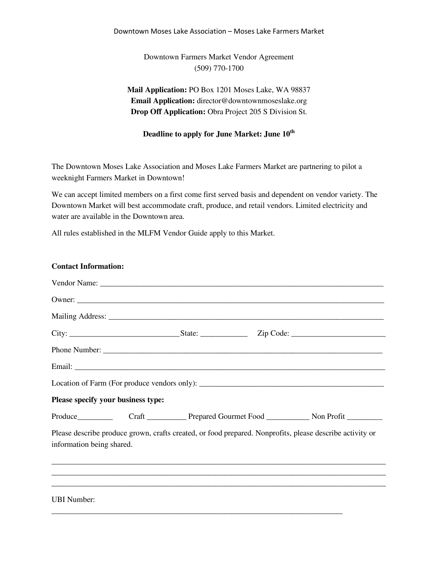### Downtown Moses Lake Association – Moses Lake Farmers Market

Downtown Farmers Market Vendor Agreement (509) 770-1700

**Mail Application:** PO Box 1201 Moses Lake, WA 98837 **Email Application:** director@downtownmoseslake.org **Drop Off Application:** Obra Project 205 S Division St.

## **Deadline to apply for June Market: June 10th**

The Downtown Moses Lake Association and Moses Lake Farmers Market are partnering to pilot a weeknight Farmers Market in Downtown!

We can accept limited members on a first come first served basis and dependent on vendor variety. The Downtown Market will best accommodate craft, produce, and retail vendors. Limited electricity and water are available in the Downtown area.

All rules established in the MLFM Vendor Guide apply to this Market.

**Contact Information:**

| Contact mnomination                |  |                                                                                                          |
|------------------------------------|--|----------------------------------------------------------------------------------------------------------|
|                                    |  |                                                                                                          |
|                                    |  |                                                                                                          |
|                                    |  |                                                                                                          |
|                                    |  |                                                                                                          |
|                                    |  |                                                                                                          |
|                                    |  |                                                                                                          |
|                                    |  |                                                                                                          |
| Please specify your business type: |  |                                                                                                          |
|                                    |  |                                                                                                          |
| information being shared.          |  | Please describe produce grown, crafts created, or food prepared. Nonprofits, please describe activity or |
|                                    |  |                                                                                                          |
| UBI Number:                        |  |                                                                                                          |

\_\_\_\_\_\_\_\_\_\_\_\_\_\_\_\_\_\_\_\_\_\_\_\_\_\_\_\_\_\_\_\_\_\_\_\_\_\_\_\_\_\_\_\_\_\_\_\_\_\_\_\_\_\_\_\_\_\_\_\_\_\_\_\_\_\_\_\_\_\_\_\_\_\_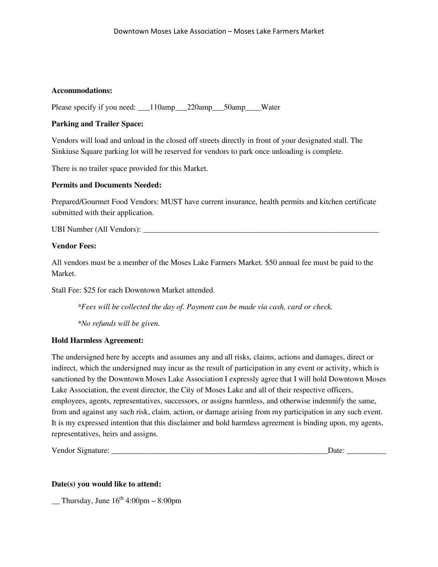## **Accommodations:**

Please specify if you need:  $110 \text{amp}$  220amp 50amp Water

# **Parking and Trailer Space:**

Vendors will load and unload in the closed off streets directly in front of your designated stall. The Sinkiuse Square parking lot will be reserved for vendors to park once unloading is complete.

There is no trailer space provided for this Market.

# **Permits and Documents Needed:**

Prepared/Gourmet Food Vendors: MUST have current insurance, health permits and kitchen certificate submitted with their application.

UBI Number (All Vendors):

# **Vendor Fees:**

All vendors must be a member of the Moses Lake Farmers Market. \$50 annual fee must be paid to the Market.

Stall Fee: \$25 for each Downtown Market attended.

*\*Fees will be collected the day of. Payment can be made via cash, card or check.* 

*\*No refunds will be given.* 

### **Hold Harmless Agreement:**

The undersigned here by accepts and assumes any and all risks, claims, actions and damages, direct or indirect, which the undersigned may incur as the result of participation in any event or activity, which is sanctioned by the Downtown Moses Lake Association I expressly agree that I will hold Downtown Moses Lake Association, the event director, the City of Moses Lake and all of their respective officers, employees, agents, representatives, successors, or assigns harmless, and otherwise indemnify the same, from and against any such risk, claim, action, or damage arising from my participation in any such event. It is my expressed intention that this disclaimer and hold harmless agreement is binding upon, my agents, representatives, heirs and assigns.

Vendor Signature: \_\_\_\_\_\_\_\_\_\_\_\_\_\_\_\_\_\_\_\_\_\_\_\_\_\_\_\_\_\_\_\_\_\_\_\_\_\_\_\_\_\_\_\_\_\_\_\_\_\_\_\_\_\_\_Date: \_\_\_\_\_\_\_\_\_\_

### **Date(s) you would like to attend:**

Thursday, June  $16^{th}$  4:00pm – 8:00pm